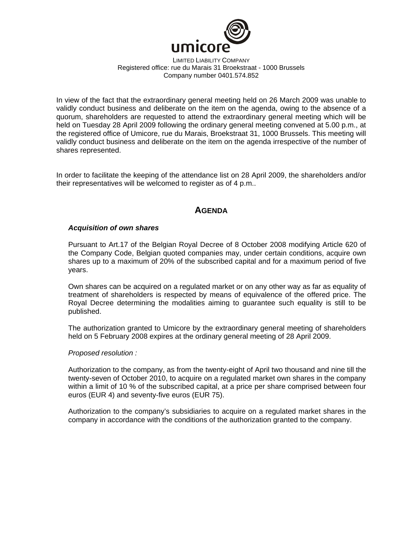

LIMITED LIABILITY COMPANY Registered office: rue du Marais 31 Broekstraat - 1000 Brussels Company number 0401.574.852

In view of the fact that the extraordinary general meeting held on 26 March 2009 was unable to validly conduct business and deliberate on the item on the agenda, owing to the absence of a quorum, shareholders are requested to attend the extraordinary general meeting which will be held on Tuesday 28 April 2009 following the ordinary general meeting convened at 5.00 p.m., at the registered office of Umicore, rue du Marais, Broekstraat 31, 1000 Brussels. This meeting will validly conduct business and deliberate on the item on the agenda irrespective of the number of shares represented.

In order to facilitate the keeping of the attendance list on 28 April 2009, the shareholders and/or their representatives will be welcomed to register as of 4 p.m..

# **AGENDA**

## *Acquisition of own shares*

Pursuant to Art.17 of the Belgian Royal Decree of 8 October 2008 modifying Article 620 of the Company Code, Belgian quoted companies may, under certain conditions, acquire own shares up to a maximum of 20% of the subscribed capital and for a maximum period of five years.

Own shares can be acquired on a regulated market or on any other way as far as equality of treatment of shareholders is respected by means of equivalence of the offered price. The Royal Decree determining the modalities aiming to guarantee such equality is still to be published.

The authorization granted to Umicore by the extraordinary general meeting of shareholders held on 5 February 2008 expires at the ordinary general meeting of 28 April 2009.

### *Proposed resolution :*

Authorization to the company, as from the twenty-eight of April two thousand and nine till the twenty-seven of October 2010, to acquire on a regulated market own shares in the company within a limit of 10 % of the subscribed capital, at a price per share comprised between four euros (EUR 4) and seventy-five euros (EUR 75).

Authorization to the company's subsidiaries to acquire on a regulated market shares in the company in accordance with the conditions of the authorization granted to the company.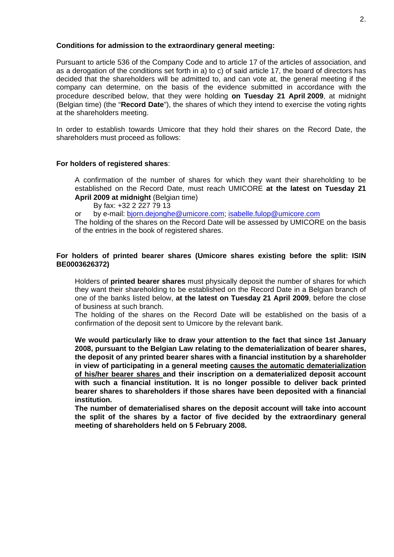### **Conditions for admission to the extraordinary general meeting:**

Pursuant to article 536 of the Company Code and to article 17 of the articles of association, and as a derogation of the conditions set forth in a) to c) of said article 17, the board of directors has decided that the shareholders will be admitted to, and can vote at, the general meeting if the company can determine, on the basis of the evidence submitted in accordance with the procedure described below, that they were holding **on Tuesday 21 April 2009**, at midnight (Belgian time) (the "**Record Date**"), the shares of which they intend to exercise the voting rights at the shareholders meeting.

In order to establish towards Umicore that they hold their shares on the Record Date, the shareholders must proceed as follows:

## **For holders of registered shares**:

A confirmation of the number of shares for which they want their shareholding to be established on the Record Date, must reach UMICORE **at the latest on Tuesday 21 April 2009 at midnight** (Belgian time)

By fax: +32 2 227 79 13

or by e-mail: bjorn.dejonghe@umicore.com; isabelle.fulop@umicore.com

The holding of the shares on the Record Date will be assessed by UMICORE on the basis of the entries in the book of registered shares.

## **For holders of printed bearer shares (Umicore shares existing before the split: ISIN BE0003626372)**

Holders of **printed bearer shares** must physically deposit the number of shares for which they want their shareholding to be established on the Record Date in a Belgian branch of one of the banks listed below, **at the latest on Tuesday 21 April 2009**, before the close of business at such branch.

The holding of the shares on the Record Date will be established on the basis of a confirmation of the deposit sent to Umicore by the relevant bank.

**We would particularly like to draw your attention to the fact that since 1st January 2008, pursuant to the Belgian Law relating to the dematerialization of bearer shares, the deposit of any printed bearer shares with a financial institution by a shareholder in view of participating in a general meeting causes the automatic dematerialization of his/her bearer shares and their inscription on a dematerialized deposit account with such a financial institution. It is no longer possible to deliver back printed bearer shares to shareholders if those shares have been deposited with a financial institution.** 

**The number of dematerialised shares on the deposit account will take into account the split of the shares by a factor of five decided by the extraordinary general meeting of shareholders held on 5 February 2008.**